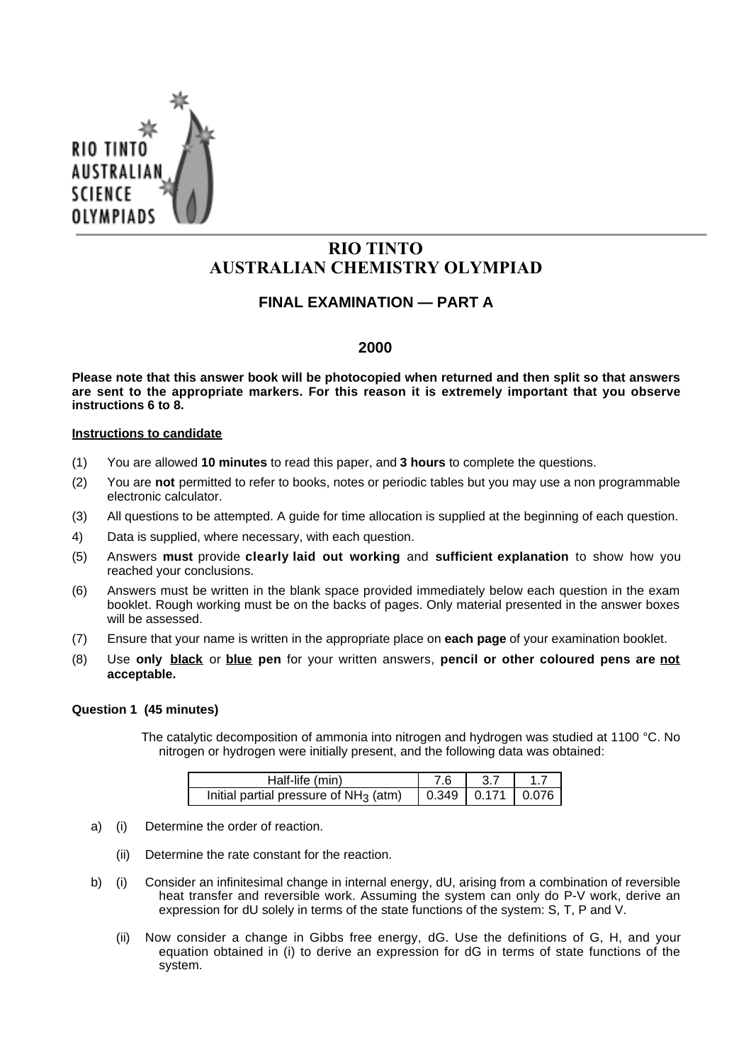

# **RIO TINTO AUSTRALIAN CHEMISTRY OLYMPIAD**

## **FINAL EXAMINATION — PART A**

### **2000**

**Please note that this answer book will be photocopied when returned and then split so that answers are sent to the appropriate markers. For this reason it is extremely important that you observe instructions 6 to 8.**

### **Instructions to candidate**

- (1) You are allowed **10 minutes** to read this paper, and **3 hours** to complete the questions.
- (2) You are **not** permitted to refer to books, notes or periodic tables but you may use a non programmable electronic calculator.
- (3) All questions to be attempted. A guide for time allocation is supplied at the beginning of each question.
- 4) Data is supplied, where necessary, with each question.
- (5) Answers **must** provide **clearly laid out working** and **sufficient explanation** to show how you reached your conclusions.
- (6) Answers must be written in the blank space provided immediately below each question in the exam booklet. Rough working must be on the backs of pages. Only material presented in the answer boxes will be assessed.
- (7) Ensure that your name is written in the appropriate place on **each page** of your examination booklet.
- (8) Use **only black** or **blue pen** for your written answers, **pencil or other coloured pens are not acceptable.**

### **Question 1 (45 minutes)**

The catalytic decomposition of ammonia into nitrogen and hydrogen was studied at 1100 °C. No nitrogen or hydrogen were initially present, and the following data was obtained:

| Half-life (min)                          | 7 6                           |  |
|------------------------------------------|-------------------------------|--|
| Initial partial pressure of $NH_3$ (atm) | $\vert$ 0.349   0.171   0.076 |  |

- a) (i) Determine the order of reaction.
	- (ii) Determine the rate constant for the reaction.
- b) (i) Consider an infinitesimal change in internal energy, dU, arising from a combination of reversible heat transfer and reversible work. Assuming the system can only do P-V work, derive an expression for dU solely in terms of the state functions of the system: S, T, P and V.
	- (ii) Now consider a change in Gibbs free energy, dG. Use the definitions of G, H, and your equation obtained in (i) to derive an expression for dG in terms of state functions of the system.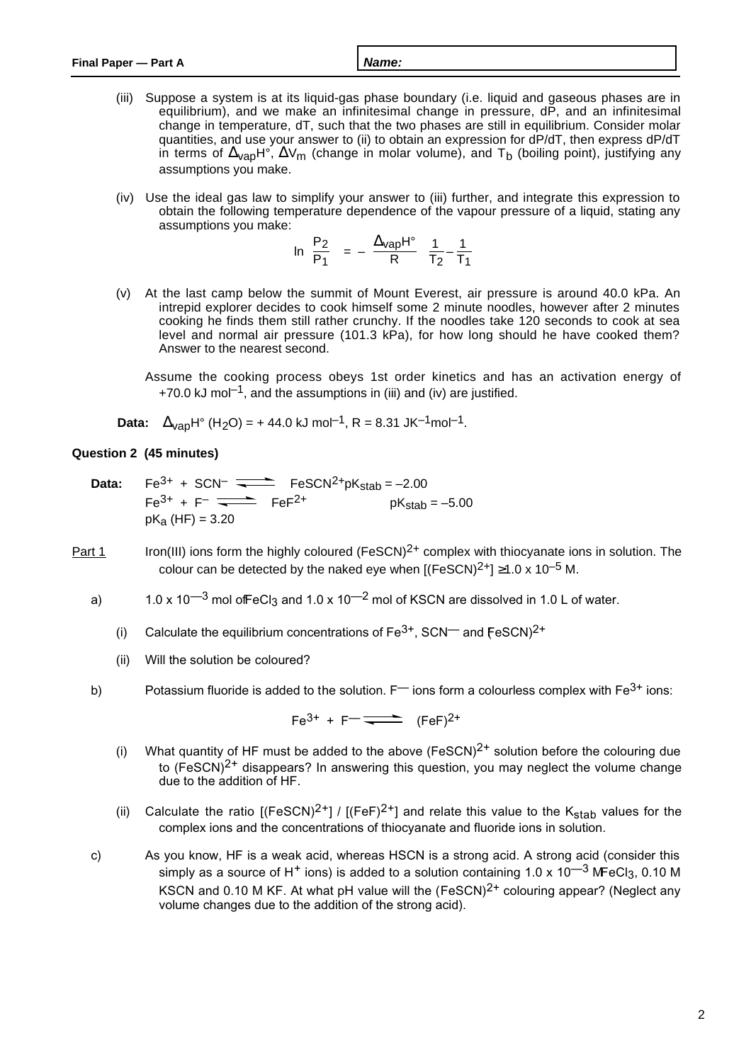- (iii) Suppose a system is at its liquid-gas phase boundary (i.e. liquid and gaseous phases are in equilibrium), and we make an infinitesimal change in pressure, dP, and an infinitesimal change in temperature, dT, such that the two phases are still in equilibrium. Consider molar quantities, and use your answer to (ii) to obtain an expression for dP/dT, then express dP/dT in terms of  $\Delta_{\rm VaD}H^{\circ}$ ,  $\Delta V_{\rm m}$  (change in molar volume), and T<sub>b</sub> (boiling point), justifying any assumptions you make.
- (iv) Use the ideal gas law to simplify your answer to (iii) further, and integrate this expression to obtain the following temperature dependence of the vapour pressure of a liquid, stating any assumptions you make:  $\sim$  $\sqrt{2}$

$$
\ln\left(\frac{P_2}{P_1}\right) = -\left(\frac{\Delta_{\text{Vap}}H^{\circ}}{R}\right)\left(\frac{1}{T_2} - \frac{1}{T_1}\right)
$$

- (v) At the last camp below the summit of Mount Everest, air pressure is around 40.0 kPa. An intrepid explorer decides to cook himself some 2 minute noodles, however after 2 minutes cooking he finds them still rather crunchy. If the noodles take 120 seconds to cook at sea level and normal air pressure (101.3 kPa), for how long should he have cooked them? Answer to the nearest second.
	- Assume the cooking process obeys 1st order kinetics and has an activation energy of +70.0 kJ mol<sup>-1</sup>, and the assumptions in (iii) and (iv) are justified.
- **Data:**  $\Delta_{\text{van}}H^{\circ}$  (H<sub>2</sub>O) = +44.0 kJ mol<sup>-1</sup>, R = 8.31 JK<sup>-1</sup>mol<sup>-1</sup>.

### **Question 2 (45 minutes)**

- **Data:**  $Fe^{3+} + SCN^{-} \longrightarrow$   $FeSCN^{2+}pK_{stab} = -2.00$  $Fe^{3+} + F^{-}$   $\rightleftharpoons$   $FeF^{2+}$  pK<sub>stab</sub> = -5.00  $pK_a$  (HF) = 3.20
- Part 1 Iron(III) ions form the highly coloured (FeSCN)<sup>2+</sup> complex with thiocyanate ions in solution. The colour can be detected by the naked eye when  $[(FeSCN)^{2+}] \ge 1.0 \times 10^{-5}$  M.
	- a)  $1.0 \times 10^{-3}$  mol of FeCl<sub>3</sub> and  $1.0 \times 10^{-2}$  mol of KSCN are dissolved in 1.0 L of water.
		- (i) Calculate the equilibrium concentrations of  $Fe^{3+}$ , SCN<sup>-</sup> and  $FeSCN$ )<sup>2+</sup>
		- (ii) Will the solution be coloured?
	- b) Potassium fluoride is added to the solution.  $F$  ions form a colourless complex with  $Fe^{3+}$  ions:

 $Fe^{3+} + F^{-}$   $\rightleftharpoons$   $(FeF)^{2+}$ 

- (i) What quantity of HF must be added to the above  $(FeSCN)^{2+}$  solution before the colouring due to  $(FesCN)^{2+}$  disappears? In answering this question, you may neglect the volume change due to the addition of HF.
- (ii) Calculate the ratio  $[(FeSCN)^{2+}] / [(FeF)^{2+}]$  and relate this value to the K<sub>stab</sub> values for the complex ions and the concentrations of thiocyanate and fluoride ions in solution.
- c) As you know, HF is a weak acid, whereas HSCN is a strong acid. A strong acid (consider this simply as a source of H<sup>+</sup> ions) is added to a solution containing 1.0 x 10<sup>-3</sup> M FeCl<sub>3</sub>, 0.10 M KSCN and 0.10 M KF. At what pH value will the  $(FeSCN)^{2+}$  colouring appear? (Neglect any volume changes due to the addition of the strong acid).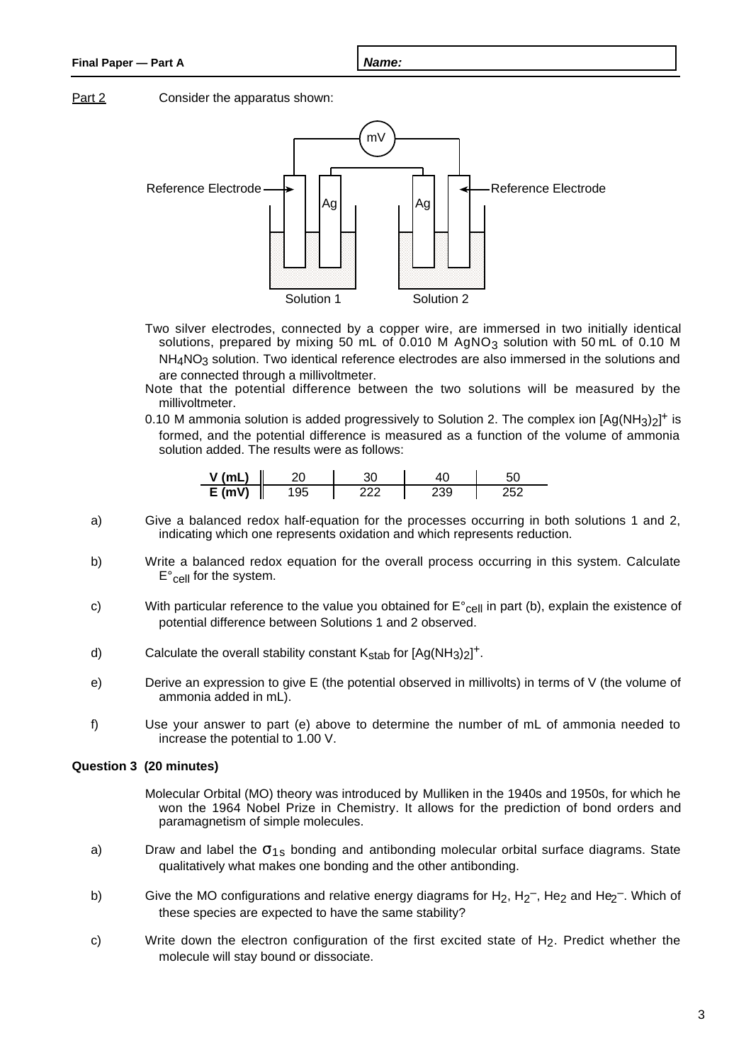### **Final Paper — Part A Name:**

Part 2 Consider the apparatus shown:



- Two silver electrodes, connected by a copper wire, are immersed in two initially identical solutions, prepared by mixing 50 mL of 0.010 M  $AgNO<sub>3</sub>$  solution with 50 mL of 0.10 M NH<sub>4</sub>NO<sub>3</sub> solution. Two identical reference electrodes are also immersed in the solutions and are connected through a millivoltmeter.
- Note that the potential difference between the two solutions will be measured by the millivoltmeter.
- 0.10 M ammonia solution is added progressively to Solution 2. The complex ion  $[Ag(NH<sub>3</sub>)<sub>2</sub>]$ <sup>+</sup> is formed, and the potential difference is measured as a function of the volume of ammonia solution added. The results were as follows:

| $V$ (mL  |      |    |  |
|----------|------|----|--|
| $E$ (mV) | -95- | 30 |  |

- a) Give a balanced redox half-equation for the processes occurring in both solutions 1 and 2, indicating which one represents oxidation and which represents reduction.
- b) Write a balanced redox equation for the overall process occurring in this system. Calculate  $E^{\circ}$ <sub>Cell</sub> for the system.
- c) With particular reference to the value you obtained for  $E^{\circ}$ <sub>cell</sub> in part (b), explain the existence of potential difference between Solutions 1 and 2 observed.
- d) Calculate the overall stability constant  $K_{stab}$  for  $[Ag(NH<sub>3</sub>)<sub>2</sub>]$ <sup>+</sup>.
- e) Derive an expression to give E (the potential observed in millivolts) in terms of V (the volume of ammonia added in mL).
- f) Use your answer to part (e) above to determine the number of mL of ammonia needed to increase the potential to 1.00 V.

### **Question 3 (20 minutes)**

- Molecular Orbital (MO) theory was introduced by Mulliken in the 1940s and 1950s, for which he won the 1964 Nobel Prize in Chemistry. It allows for the prediction of bond orders and paramagnetism of simple molecules.
- a) Draw and label the  $\sigma_{1s}$  bonding and antibonding molecular orbital surface diagrams. State qualitatively what makes one bonding and the other antibonding.
- b) Give the MO configurations and relative energy diagrams for  $H_2$ ,  $H_2$ <sup>-</sup>, He<sub>2</sub> and He<sub>2</sub><sup>-</sup>. Which of these species are expected to have the same stability?
- c) Write down the electron configuration of the first excited state of H<sub>2</sub>. Predict whether the molecule will stay bound or dissociate.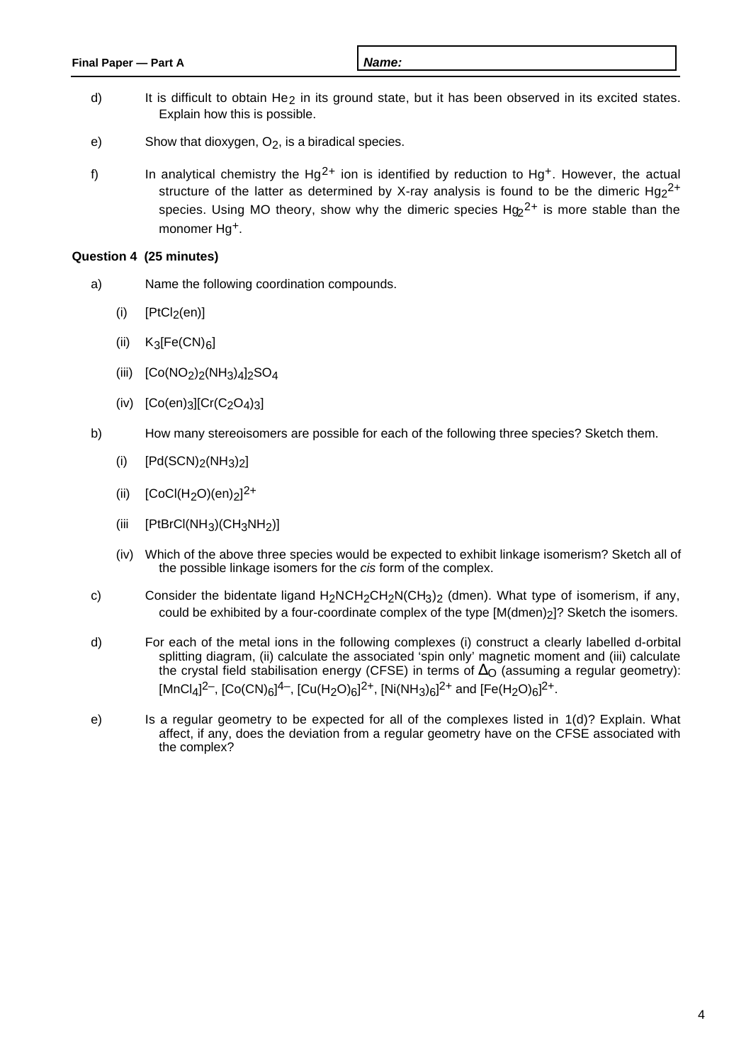- d) It is difficult to obtain He<sub>2</sub> in its ground state, but it has been observed in its excited states. Explain how this is possible.
- e) Show that dioxygen,  $O_2$ , is a biradical species.
- f) In analytical chemistry the Hg<sup>2+</sup> ion is identified by reduction to Hg<sup>+</sup>. However, the actual structure of the latter as determined by X-ray analysis is found to be the dimeric  $Hg<sub>2</sub><sup>2+</sup>$ species. Using MO theory, show why the dimeric species  $Hg<sub>2</sub><sup>2+</sup>$  is more stable than the monomer Hg+.

### **Question 4 (25 minutes)**

- a) Name the following coordination compounds.
	- $(i)$  [PtCl<sub>2</sub>(en)]
	- (ii)  $K_3[Fe(CN)_6]$
	- (iii)  $[Co(NO<sub>2</sub>)<sub>2</sub>(NH<sub>3</sub>)<sub>4</sub>]<sub>2</sub>SO<sub>4</sub>$
	- $(iv)$  [Co(en)<sub>3</sub>][Cr(C<sub>2</sub>O<sub>4</sub>)<sub>3</sub>]
- b) How many stereoisomers are possible for each of the following three species? Sketch them.
	- (i)  $[Pd(SCN)_2(NH_3)_2]$
	- (ii)  $[CoCl(H<sub>2</sub>O)(en)<sub>2</sub>]<sup>2+</sup>$
	- (iii  $[PtBrCl(NH<sub>3</sub>)(CH<sub>3</sub>NH<sub>2</sub>)]$
	- (iv) Which of the above three species would be expected to exhibit linkage isomerism? Sketch all of the possible linkage isomers for the cis form of the complex.
- c) Consider the bidentate ligand  $H_2NCH_2CH_2N(CH_3)_2$  (dmen). What type of isomerism, if any, could be exhibited by a four-coordinate complex of the type [M(dmen)<sub>2</sub>]? Sketch the isomers.
- d) For each of the metal ions in the following complexes (i) construct a clearly labelled d-orbital splitting diagram, (ii) calculate the associated 'spin only' magnetic moment and (iii) calculate the crystal field stabilisation energy (CFSE) in terms of  $\Delta_{\mathbb{O}}$  (assuming a regular geometry): [MnCl<sub>4</sub>]<sup>2−</sup>, [Co(CN)<sub>6</sub>]<sup>4−</sup>, [Cu(H<sub>2</sub>O)<sub>6</sub>]<sup>2+</sup>, [Ni(NH<sub>3</sub>)<sub>6</sub>]<sup>2+</sup> and [Fe(H<sub>2</sub>O)<sub>6</sub>]<sup>2+</sup>.
- e) Is a regular geometry to be expected for all of the complexes listed in 1(d)? Explain. What affect, if any, does the deviation from a regular geometry have on the CFSE associated with the complex?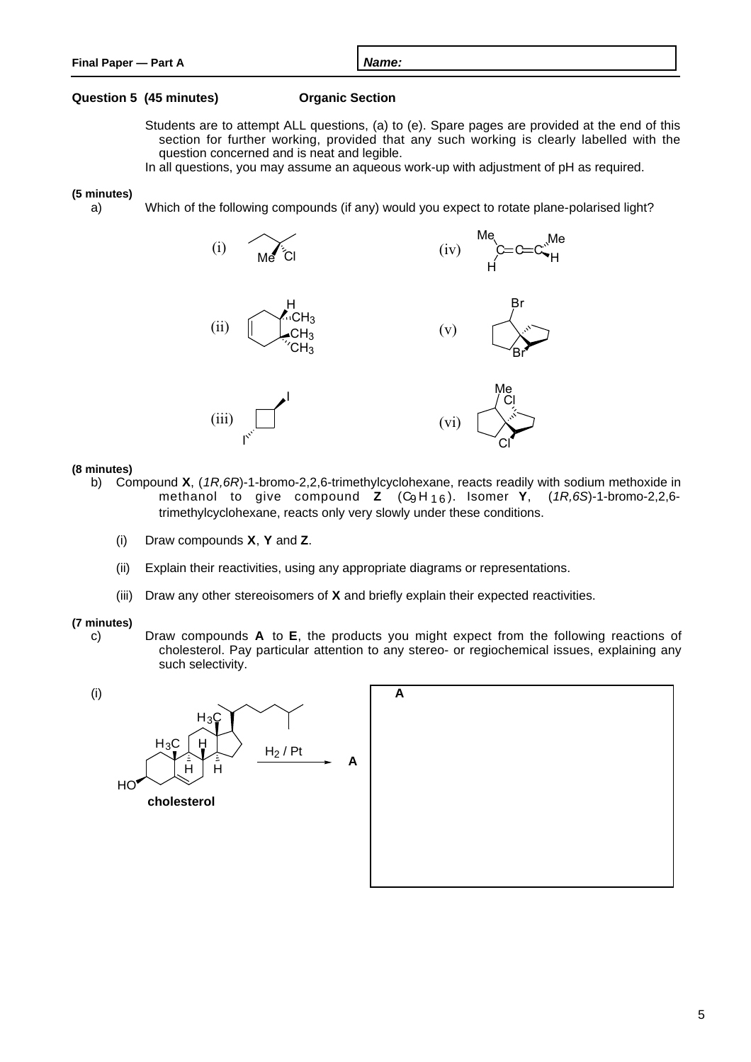#### **Question 5 (45 minutes) Organic Section**

- Students are to attempt ALL questions, (a) to (e). Spare pages are provided at the end of this section for further working, provided that any such working is clearly labelled with the question concerned and is neat and legible.
- In all questions, you may assume an aqueous work-up with adjustment of pH as required.

#### **(5 minutes)**

a) Which of the following compounds (if any) would you expect to rotate plane-polarised light?



#### **(8 minutes)**

- b) Compound **X**, (1R,6R)-1-bromo-2,2,6-trimethylcyclohexane, reacts readily with sodium methoxide in methanol to give compound **Z** (C<sub>9</sub>H<sub>16</sub>). Isomer **Y**, (1R,6S)-1-bromo-2,2,6trimethylcyclohexane, reacts only very slowly under these conditions.
	- (i) Draw compounds **X**, **Y** and **Z**.
	- (ii) Explain their reactivities, using any appropriate diagrams or representations.
	- (iii) Draw any other stereoisomers of **X** and briefly explain their expected reactivities.

#### **(7 minutes)**

c) Draw compounds **A** to **E**, the products you might expect from the following reactions of cholesterol. Pay particular attention to any stereo- or regiochemical issues, explaining any such selectivity.

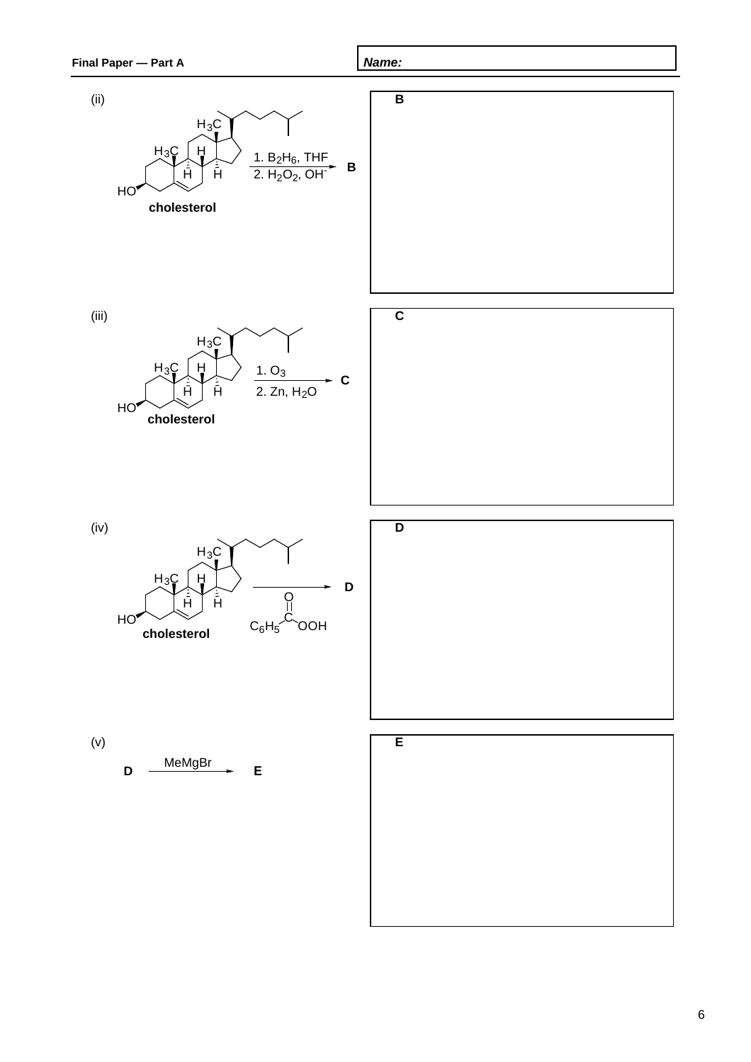